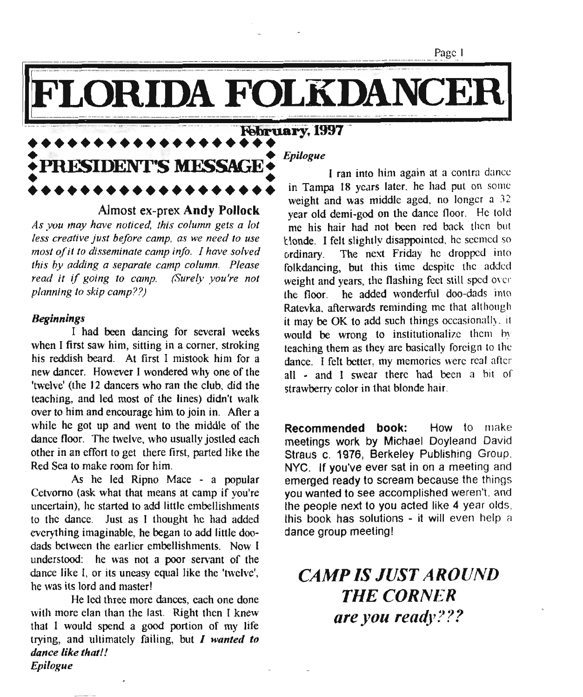LORIDA FOLKDANCER

#### **•••••••••••••••••••** •••••••••••••••••••<br>•PRESIDENT'S MESSAGE • **• PRESIDENT'S MFSSAGE.** • • **•••••••••••••••••••**

Almost ex-prex **Andy Pollock**

*As you may have noticed. this column gets a lot less creative just before camp, as we need to use most of it to disseminate camp info. I have solved this by adding a separate camp column. Please read it if going to camp. (Surely you're not planning to skip camp??)*

#### *Beginnings*

I had been dancing for several weeks when I first saw him, sitting in a corner, stroking his reddish beard. At first I mistook him for a new dancer. However I wondered why one of the 'twelve' (the 12 dancers who ran the club, did the teaching, and led most of the lines) didn't walk over to him and encourage him to join in. After a while he got up and went to the middle of the dance floor. The twelve, who usually jostled each other in an effort to get there first, parted like the Red Sea to make room for him.

As he led Ripno Mace - a popular Cetvomo (ask what that means at camp if you're uncertain), he started to add little embellishments to the dance. Just as I thought he had added everything imaginable, he began to add little doodads between the earlier embellishments. Now I understood: he was not a poor servant of the dance like I, or its uneasy equal like the 'twelve', he was its lord and master!

He led three more dances, each one done with more elan than the last. Right then I knew that I would spend a good portion of my life trying, and ultimately failing, but *I wanted to dance like that!! Epilogue*

*Epilogue*

I ran into him again at a contra dance in Tampa 18 years later. he had put on some weight and was middle aged, no longer a  $32$ year old demi-god on the dance floor. He told me his hair had not been red back then but tlonde. I felt slightly disappointed, he seemed so ordinary. The next Friday he dropped into folkdancing, but this time despite the added weight and years, the flashing feet still sped over the floor. he added wonderful doo-dads into Ratevka, afterwards reminding me that although it may be OK to add such things occasionally. it would be wrong to institutionalize them by teaching them as they are basically foreign to the dance. I felt better, my memories were real after all - and I swear there had been a bit of strawberry color in that blonde hair.

**Recommended book:** How to make meetings work by Michael Doyleand David Straus c. 1976, Berkeley Publishing Group, NYC. If you've ever sat in on a meeting and emerged ready to scream because the things *you* wanted to see accomplished weren't, and the people next to you acted like 4 year olds: this book has solutions - it will even help a dance group meeting!

### *CAMP IS JUST AROUND* **THE CORNER** *are you ready???*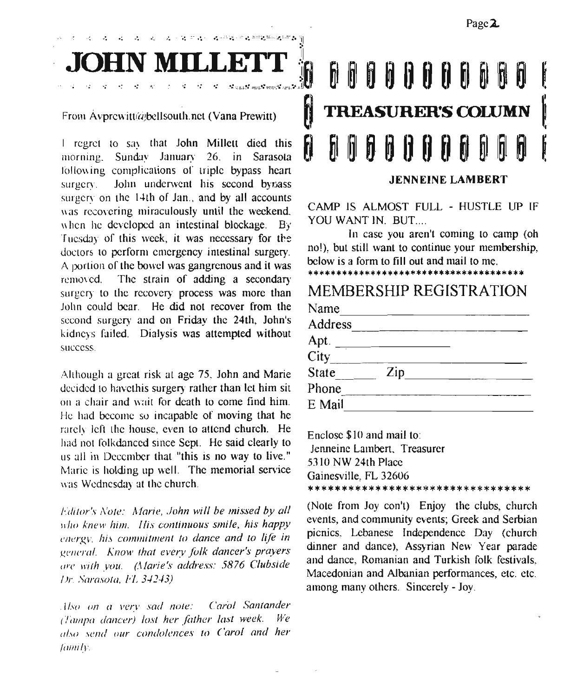$\mathcal{R} \cong \mathcal{R} \times \mathcal{R}$  and  $\mathcal{R} \cong \mathcal{R}$  and  $\mathcal{R} \cong \mathcal{R}$ 

From Avprewitt@bellsouth.nct (Vana Prewitt)

I regret to say that John Millett died this morrung. Sunday January 26. in Sarasota following complications of triple bypass heart surgery. John underwent his second bypass surgery on the 14th of Jan., and by all accounts was recovering miraculously until the weekend. when he developed an intestinal blockage. By Tuesday of this week, it was necessary for the doctors to perform emergency intestinal surgery. A portion of the bowel was gangrenous and it was removed. The strain of adding a secondary surgery to the recovery process was more than John could bear. He did not recover from the second surgery and on Friday the 24th, John's kidneys failed. Dialysis was attempted without success.

Although a great risk at age 75. John and Marie decided to havcthis surgery rather than let him sit <sup>011</sup> a chair and wait for death to come find him. He had become so incapable of moving that he rarely left the house, even to attend church. He had not folkdanccd since Sept. He said clearly to us all in December that "this is no way to live." Marie is holding up well. The memorial service was Wednesday at the church.

*lditor's Note: Alarie, John will be missed by all who knew him. His continuous smile, his happy energy. his commitment to dance and to life in general. Know that every folk dancer's prayers* (/1'(' *with you. (Marie's address:* 5876 *Clubside Isr.. Sarasota, I'L 3./2-13)*

*. //.10 on a l'elY sad note: Carol Santander (Tampn dancer) lost her father last week. We (/f.\O send our condolences to Carol and her Iamily*.

## ~?~.M~~~j6 ~~I6 H 0 H H 6 ~ @ 6 I TREASURER'S COLUMN <sup>6</sup> ~llijID~I}Hn~'~11~6 J.

JENNEINE LAMBERT

CAMP IS ALMOST FULL - HUSTLE UP IF YOU WANT IN. BUT....

In case you aren't coming to camp (oh nol), but still want to continue your membership, below is a form to fill out and mail to me.

\*\*\*\*\*\*\*\*\*\*\*\*\*\*\*\*\*\*\*\*\*\*\*\*\*\*\*\*\*\*\*\*\*\*\*\*\*\*

#### MEMBERSHIP REGISTRATION

| Name                         |     |  |
|------------------------------|-----|--|
| Address                      |     |  |
|                              |     |  |
| Apt. $\frac{1}{\text{City}}$ |     |  |
| State                        | Zip |  |
| Phone                        |     |  |
| E Mail                       |     |  |

Enclose \$10 and mail to: Jenneine Lambert, Treasurer 5310 NW 24th Place Gainesville, FL 32606 \*\*\*\*\*\*\*\*\*\*\*\*\*\*\*\*\*\*\*\*\*\*\*\*\*\*\*\*\*\*\*\*\*

(Note from Joy con't) Enjoy the clubs, church events, and community events; Greek and Serbian picnics, Lebanese Independence Day (church dinner and dance), Assyrian New Year parade and dance, Romanian and Turkish folk festivals. Macedonian and Albanian performances, etc. etc. among many others. Sincerely - Joy.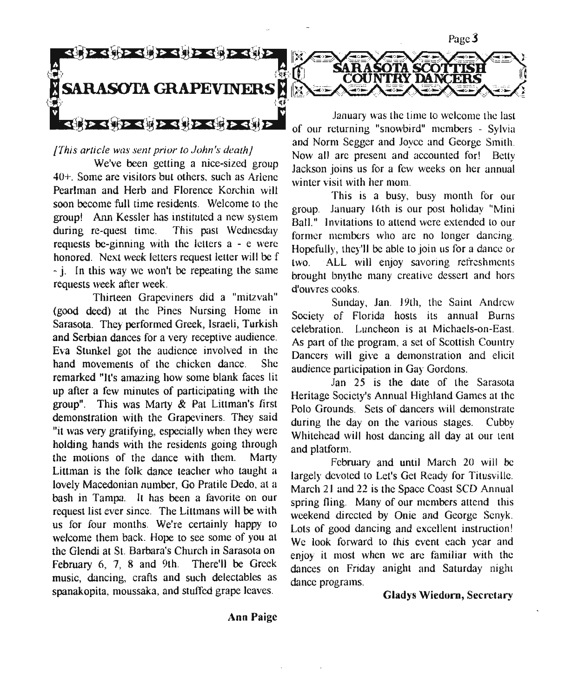

#### *[This article was sent prior to John's death}*

We've been getting a nice-sized group 40+, Some are visitors but others. such as Arlene Pearlman and Herb and Florence Korchin will soon become full time residents. Welcome to the group! Ann Kessler has instituted a new system during re-quest time. This past Wednesday requests be-ginning with the letters a - e were honored. Next week leiters request letter will be f - j. In this way we won't be repeating the same requests week after week.

Thirteen Grapeviners did a "mitzvah" (good deed) at the Pines Nursing Home in Sarasota. They performed Greek, Israeli, Turkish and Serbian dances for a very receptive audience. Eva Stunkel got the audience involved in the hand movements of the chicken dance. She remarked "It's amazing how some blank faces lit up after a few minutes of participating with the group". This was Marty  $\&$  Pat Littman's first demonstration with the Grapeviners. They said "it was very gratifying, especially when they were holding hands with the residents going through the motions of the dance with them. Marty Littman is the folk dance teacher who taught a lovelv Macedonian number, Go Pratile Dedo, at a bash in Tampa. It has been a favorite on our request list ever since. The Littmans will be with us for four months. We're certainly happy to welcome them back. Hope to see some of you at the Glendi at St. Barbara's Church in Sarasota on February 6, 7, 8 and 9th. There'll be Greek music, dancing, crafts and such delectables as spanakopita, moussaka, and stuffed grape leaves,

January was the time to welcome the last and Norm Segger and Joyce and George Smith. Now all arc present and accounted for! Betty Jackson joins us for a few weeks on her annual winter visit with her mom,

SARASOTA SCOTTISH<br>COUNTRY DANCERS

*.:*

This is a busy, busy month for our group, January 16th is our post holiday "Mini Ball." Invitations to attend were extended to our former members who arc no longer dancing. Hopefully, they'll be able to join us for a dance or two, ALL will enjoy savoring refreshments brought bnythe many creative dessert and hors d'ouvres cooks,

Sunday, Jan. 19th, the Saint Andrew Society of Florida hosts its annual Burns celebration. Luncheon is at Michaels-on-East. As part of the program, a set of Scottish Country Dancers will give a demonstration and elicit audience participation in Gay Gordons.

Jan 25 is the date of the Sarasota Heritage Society's Annual Highland Games at the Polo Grounds. Sets of dancers will demonstrate during the day on the various stages. Cubby Whitehead will host dancing all day at our tent and platform,

February and until March 20 will be largely devoted to Let's Get Ready for Titusville, March 21 and 22 is the Space Coast SCD Annual spring fling. Many of our members attend this weekend directed by Onie and George Scnyk. Lots of good dancing and excellent instruction! We look forward to this event each year and enjoy it most when we arc familiar with the dances on Friday anight and Saturday night dance programs,

Gladys Wiedorn, Secretary

**Ann** Paige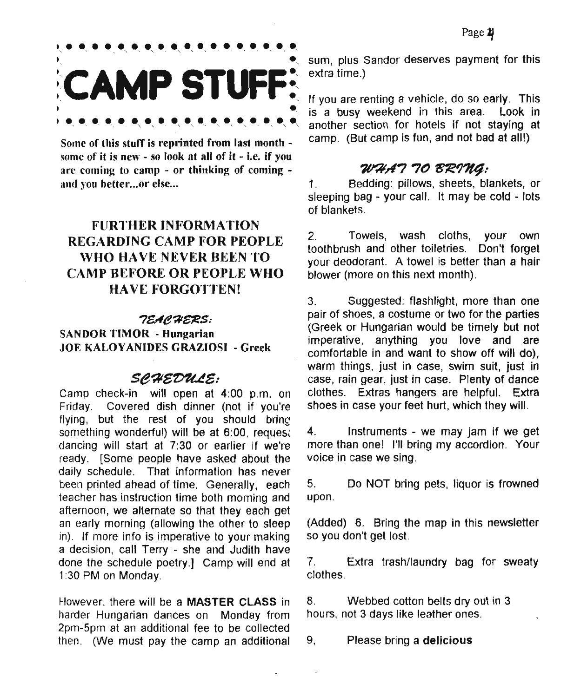## .<br>,.....................<br>, **CAMP STUFF: , , , , , , , , , , , , , , , , , , .**,

Some of this stuff is reprinted from last month some of it is new - so look at all of it - i.e. if you arc coming to camp - or thinking of coming and you better...or else...

#### FURTHER INFORMATION REGARDING CAMP FOR PEOPLE WHO HAVE NEVER BEEN TO CAMP BEFORE OR PEOPLE WHO HA VE FORGOTTEN!

#### *7EAe";il~S:*

SANDOR TIMOR - Hungarian JOE KALOYANIDES GRAZIOSI - Greek

#### *Se?l&~&:*

Camp check-in will open at 4:00 p.m. on Friday. Covered dish dinner (not if you're flying, but the rest of you should bring something wonderful) will be at 6:00, reques: dancing will start at 7:30 or earlier if we're ready, [Some people have asked about the daily schedule. That information has never been printed ahead of time. Generally, each teacher has instruction time both morning and afternoon, we alternate so that they each get an early morning (allowing the other to sleep in). If more info is imperative to your making a decision, call Terry - she and Judith have done the schedule poetry.] Camp will end at 1:30 PM on Monday.

However. there will be a MASTER CLASS in harder Hungarian dances on Monday from 2pm-5pm at an additional fee to be collected then. (We must pay the camp an additional sum, plus Sandor deserves payment for this extra time.)

ং extra time.)<br>়<br>⊆ If you are renting a vehicle, do so early. This is a busy weekend in this area. Look in another section for hotels if not staying at camp. (But camp is fun, and not bad at all!)

#### *~,t7* 7() *t/ie'l1f4:*

1. Bedding: pillows, sheets, blankets, or sleeping bag - your call. It may be cold - lots of blankets.

2. Towels, wash cloths, your own toothbrush and other toiletries. Don't forget your deodorant. A towel is better than a hair blower (more on this next month).

3. Suggested: flashlight, more than one pair of shoes, a costume or two for the parties (Greek or Hungarian would be timely but not imperative, anything you love and are comfortable in and want to show off will do), warm things, just in case, swim suit, just in case, rain gear, just in case. Plenty of dance clothes. Extras hangers are helpful. Extra shoes in case your feet hurt, which they will.

4. Instruments - we may jam if we get more than one! I'll bring my accordion. Your voice in case we sing.

5. Do NOT bring pets, liquor is frowned upon.

(Added) 6. Bring the map in this newsletter so you don't get lost.

7. Extra trash/laundry bag for sweaty clothes.

8. Webbed cotton belts dry out in 3 hours, not 3 days like leather ones.

9, Please bring a delicious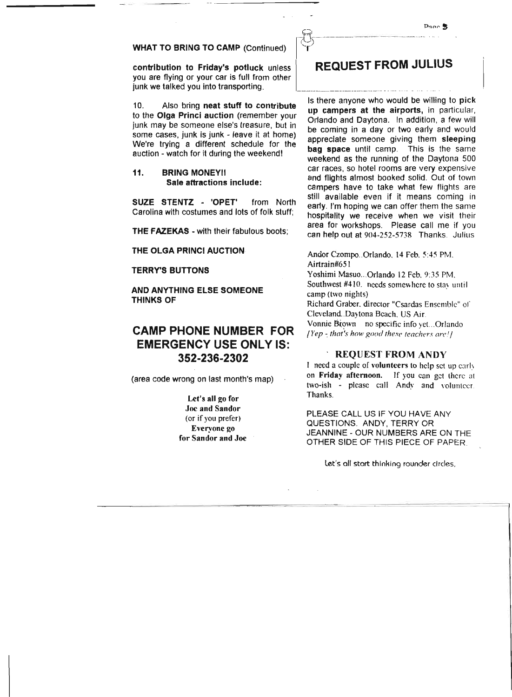#### WHAT TO BRING TO CAMP (Continued)

contribution to Friday's potluck unless you are flying or your car is full from other junk we talked you into transporting.

10. Also bring neat stuff to contribute to the Olga Princi auction (remember your junk may be someone else's treasure, but in some cases, junk is junk - leave it at home) We're trying a different schedule for the auction - watch for it during the weekend!

11. BRING MONEYII Sale attractions include:

SUZE STENTZ - 'OPET' from North Carolina with costumes and lots of folk stuff;

THE FAZEKAS - with their fabulous boots;

THE OLGA PRINCI AUCTION

TERRY'S BUTTONS

AND ANYTHING ELSE SOMEONE THINKS OF

#### CAMP PHONE NUMBER FOR EMERGENCY USE ONLY IS: 352-236-2302

(area code wrong on last month's map)

Let's all go for Joe and Sandor (or if you prefer) Everyone zo for Sandor and Joe

#### **REQUEST FROM JULIUS**

Is there anyone who would be willing to pick up campers at the airports, in particular. Orlando and Daytona. In addition, a few Will be coming in a day or two early and would appreciate someone giving them sleeping bag space until camp. This is the same weekend as the running of the Daytona 500 car races, so hotel rooms are very expensive and flights almost booked solid. Out of town campers have to take what few flights are stili available even if it means coming in early. I'm hoping we can offer them the same hospitality we receive when we visit their area for workshops. Please call me if you can help out at 904-252-5738 Thanks. Julius

Ander Czompo..Orlando. 14 Feb. 5:45 PM. Airtrain#651

Yoshimi Masuo...Orlando 12 Feb. 9:35 PM. Southwest #410. needs somewhere to stay until camp (two nights)

Richard Graber. director "Csardas Ensemble" or Cleveland ..Daytona Beach. US Air.

Vonnie Brown no specific info yet...Orlando *{Yep ~that~s how good these teachers arel]*

#### REQUEST FROM ANDY

I need a couple of volunteers to help set up early on Friday afternoon. If you can get there at two-ish - please call Andy and volunteer Thanks.

PLEASE CALL US IF YOU HAVE ANY QUESTIONS. ANDY, TERRY OR JEANNINE - OUR NUMBERS ARE ON THE OTHER SIDE OF THIS PIECE OF PAPER

Let's all start thinking rounder circles,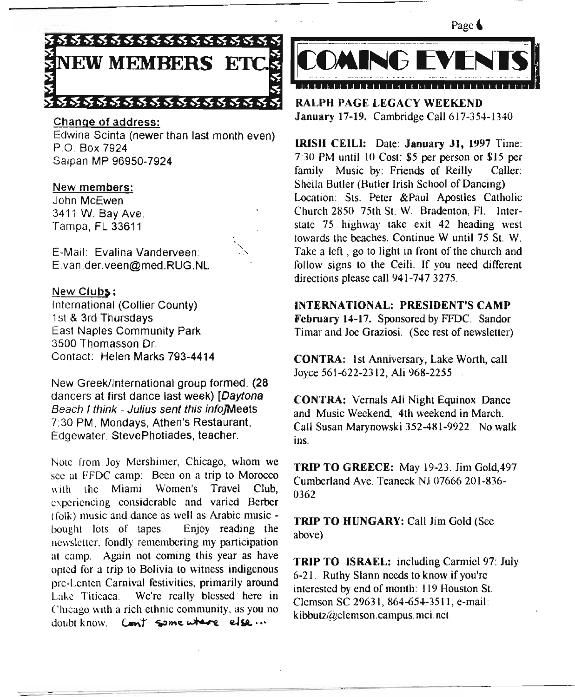

#### Change of address:

Edwina Scinta (newer than last month even) PO Box 7924 Saipan MP 96950-7924

#### New members:

John McEwen 3411 W. Bay Ave. Tampa, FL 33611

E·Mail: Evalina Vanderveen: E.van.der.veen@med.RUG.NL

New Clubs; International (Collier County) 1st & 3rd Thursdays East Naples Community Park 3500 Thomasson Dr. Contact: Helen Marks 793-4414

New Greek/International group formed. (28 dancers at first dance last week) *[Daytona Beach I think - Julius sent this info]Meets* 7:30 PM, Mondays, Athen's Restaurant, Edgewater. StevePhotiades, teacher.

Note from Joy Mershimer, Chicago, whom we see at FFDC camp: Been on a trip to Morocco with the Miami Women's Travel Club, experiencing considerable and varied Berber (folk) music and dance as well as Arabic music bought lots of tapes. Enjoy reading the newsletter. fondly remembering my participation at camp. Again not coming this year as have opted for a trip to Bolivia to witness indigenous pre-Lenten Carnival festivities, primarily around Lake Titicaca. We're really blessed here in Chicago with a rich ethnic community, as you no  $doubt$  know. Cont some where else...



RALPH PAGE LEGACY WEEKEND January 17-19. Cambridge Call 617-354-1340

IRISH CElLI: Date: January 31, 1997 Time: 7:30 PM until 10 Cost: \$5 per person or \$15 per family Music by: Friends of Reilly Caller: Sheila Butler (Butler Irish School of Dancing) Location: Sts. Peter &Paul Apostles Catholic Church 2850 75th st. W. Bradenton, FI. Interstate 75 highway take exit 42 heading west towards the beaches. Continue W until 75 St. W. Take a left, go to light in front of the church and follow signs to the Ceili. If you need different directions please call 941-747 3275.

INTERNATIONAL: PRESIDENT'S CAMP February 14-17. Sponsored by FFDC. Sandor Timar and Joe Graziosi. (See rest of newsletter)

CONTRA: 1st Anniversary, Lake Worth, call Joyce 561-622-2312, AJi 968-2255

CONTRA: Vernals All Night Equinox Dance and Music Weekend 4th weekend in March. Call Susan Marynowski 352-481-9922. No walk ins.

TRIP TO GREECE: May 19-23. Jim Gold,497 Cumberland Ave. Teaneck NJ 07666201-836- 0362

TRIP TO HUNGARY: Call Jim Gold (See above)

TRIP TO ISRAEL: including Carmicl 97: July 6-21. Ruthy Slann needs to know if you're interested by end of month: 119 Houston St. Clemson SC 29631, 864-654-3511, e-mail: kibbutz@c1emson.campus.mci.net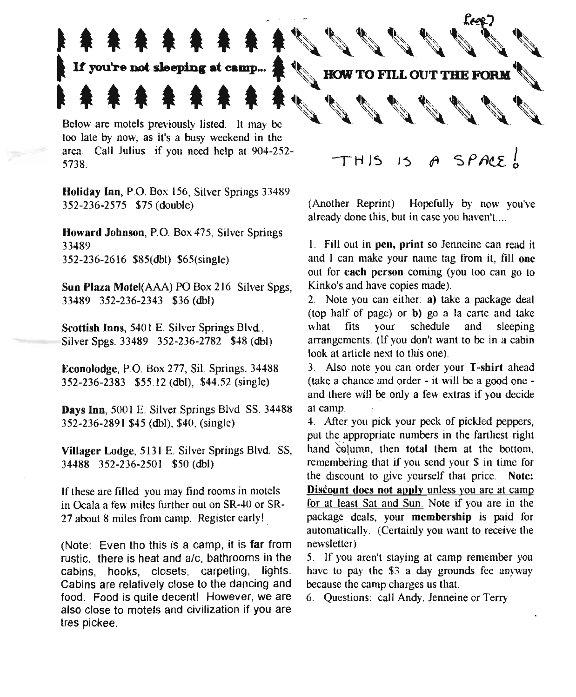# $\uparrow$   $\uparrow$   $\uparrow$   $\uparrow$   $\uparrow$   $\uparrow$   $\uparrow$   $\uparrow$   $\uparrow$   $\uparrow$   $\uparrow$   $\uparrow$   $\uparrow$   $\uparrow$   $\uparrow$   $\uparrow$   $\uparrow$   $\uparrow$   $\uparrow$   $\uparrow$   $\uparrow$   $\uparrow$   $\uparrow$   $\uparrow$   $\uparrow$   $\uparrow$   $\uparrow$   $\uparrow$   $\uparrow$   $\uparrow$   $\uparrow$   $\uparrow$   $\uparrow$   $\uparrow$   $\uparrow$   $\uparrow$   $\uparrow$ 主 拿 拿 拿 拿 拿 拿 拿<br>Below are motels previously listed. It may be  $\mathbf{A} \neq \mathbf{A} \neq \mathbf{A} \neq \mathbf{A} \neq \mathbf{A} \neq \mathbf{A} \neq \mathbf{A} \neq \mathbf{A} \neq \mathbf{A} \neq \mathbf{A} \neq \mathbf{A} \neq \mathbf{A} \neq \mathbf{A} \neq \mathbf{A} \neq \mathbf{A} \neq \mathbf{A} \neq \mathbf{A} \neq \mathbf{A} \neq \mathbf{A} \neq \mathbf{A} \neq \mathbf{A} \neq \mathbf{A} \neq \mathbf{A} \neq \mathbf{A} \neq \mathbf{$

• 秉 录 录 录 录 录<br>If you're not sleeping at camp...

too late by now, as it's a busy weekend in the area. Call Julius if you need help at 904-252- 5738.

Holiday Inn, P.O. Box 156, Silver Springs 33489 352-236-2575 \$75 (double)

Howard Johnson, P.O. Box 475, Silver Springs 33489 352-236-2616 \$85(dbl) \$65(single)

Sun Plaza Motel(AAA) PO Box 216 Silver Spgs, 33489 352-236-2343 \$36 (dbl)

Scottish Inns, 5401 E. Silver Springs Blvd., Silver Spgs. 33489 352-236-2782 \$48 (dbl)

Econolodge, P.o. Box 277, Sit. Springs. 34488 352-236-2383 \$55.12 (dbl), \$44.52 (single)

Days Inn, 5001 E. Silver Springs Blvd SS. 34488 352-236-2891 \$45 (dbl), \$40, (single)

Villager Lodge, 5131 E. Silver Springs Blvd. SS, 34488 352-236-250 I \$50 (dbl)

If these are filled you may find rooms in motels in Ocala a few miles further out on SR-40 or SR-27 about 8 miles from camp. Register early!

(Note: Even tho this is a camp, it is far from rustic. there is heat and a/c, bathrooms in the cabins, hooks, closets, carpeting. lights. Cabins are relatively close to the dancing and food. Food is quite decent! However, we are also close to motels and civilization if you are tres pickee.

 $THIS$  *IS A SPACE*,

- 1989<br>- 1980<br>- 1980

'il..

(Another Reprint) Hopefully by now you've already done this, but in case you haven't....

I. Fill out in pen, print so Jenneine can read it and I can make your name tag from it, fill one out for each person coming (you too can go to Kinko's and have copies made).

2. Note you can either: a) take a package deal (top half of page) or b) go a la carte and take what fits your schedule and sleeping arrangements. (If you don't want to be in a cabin look at article next to this one).

3. Also note you can order your T-shirt ahead (take a chance and order - it will be a good one and there will be only a few extras if you decide at camp.

4. After you pick your peck of pickled peppers, put the appropriate numbers in the farthest right hand column, then total them at the bottom, remembering that if you send your \$ in time for the discount to give yourself that price. Note: Discount does not apply unless you are at camp for at least Sat and Sun. Note if you are in the package deals, your membership is paid for automatically. (Certainly you want to receive the newsletter) .

5. If you aren't staying at camp remember you have to pay the \$3 a day grounds fee anyway because the camp charges us that.

6. Questions: call Andy, Jenneine or Terry